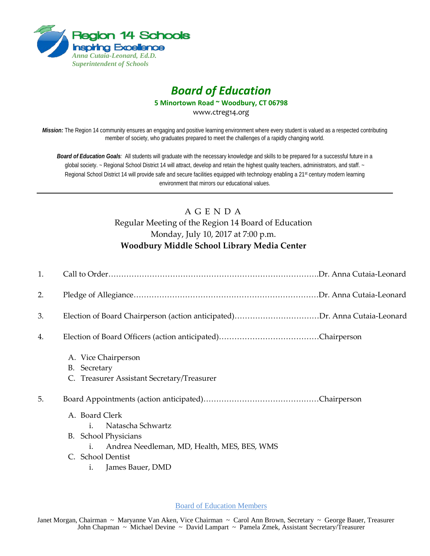

## *Board of Education*

**5 Minortown Road ~ Woodbury, CT 06798**

www.ctreg14.org

*Mission:* The Region 14 community ensures an engaging and positive learning environment where every student is valued as a respected contributing member of society, who graduates prepared to meet the challenges of a rapidly changing world.

*Board of Education Goals:* All students will graduate with the necessary knowledge and skills to be prepared for a successful future in a global society. ~ Regional School District 14 will attract, develop and retain the highest quality teachers, administrators, and staff. ~ Regional School District 14 will provide safe and secure facilities equipped with technology enabling a 21<sup>st</sup> century modern learning environment that mirrors our educational values.

## A G E N D A Regular Meeting of the Region 14 Board of Education Monday, July 10, 2017 at 7:00 p.m. **Woodbury Middle School Library Media Center**

| 1. |                                                   |
|----|---------------------------------------------------|
| 2. |                                                   |
| 3. |                                                   |
| 4. |                                                   |
|    | A. Vice Chairperson                               |
|    | B. Secretary                                      |
|    | C. Treasurer Assistant Secretary/Treasurer        |
| 5. |                                                   |
|    | A. Board Clerk                                    |
|    | Natascha Schwartz<br>i.                           |
|    | B. School Physicians                              |
|    | Andrea Needleman, MD, Health, MES, BES, WMS<br>i. |
|    | C. School Dentist                                 |
|    | James Bauer, DMD<br>1.                            |

Board of Education Members